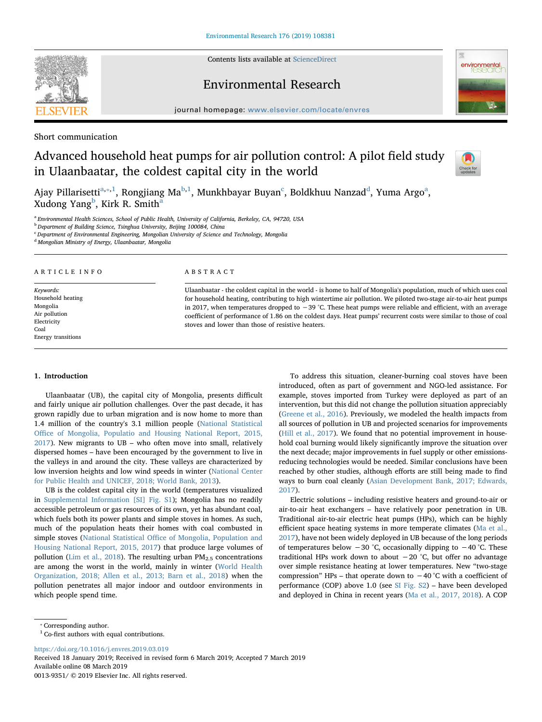Contents lists available at [ScienceDirect](http://www.sciencedirect.com/science/journal/00139351)



Environmental Research



journal homepage: [www.elsevier.com/locate/envres](https://www.elsevier.com/locate/envres)

Short communication

# Advanced household heat pumps for air pollution control: A pilot field study in Ulaanbaatar, the coldest capital city in the world



Aj[a](#page-0-0)y Pillarisetti<sup>a,</sup>\*<sup>,[1](#page-0-2)</sup>, Rongjiang Ma<sup>[b,](#page-0-3)1</sup>, Munkhbayar Buyan<sup>[c](#page-0-4)</sup>, Bol[d](#page-0-5)khuu Nanzad<sup>d</sup>, Yuma Argo<sup>a</sup>, Xudong Yang<sup>[b](#page-0-3)</sup>, Kirk R. Smith<sup>[a](#page-0-0)</sup>

<span id="page-0-0"></span><sup>a</sup> Environmental Health Sciences, School of Public Health, University of California, Berkeley, CA, 94720, USA

<span id="page-0-3"></span><sup>b</sup> Department of Building Science, Tsinghua University, Beijing 100084, China

<span id="page-0-4"></span><sup>c</sup> Department of Environmental Engineering, Mongolian University of Science and Technology, Mongolia

<span id="page-0-5"></span><sup>d</sup> Mongolian Ministry of Energy, Ulaanbaatar, Mongolia

#### ARTICLE INFO

Keywords: Household heating Mongolia Air pollution Electricity Coal Energy transitions

## ABSTRACT

Ulaanbaatar - the coldest capital in the world - is home to half of Mongolia's population, much of which uses coal for household heating, contributing to high wintertime air pollution. We piloted two-stage air-to-air heat pumps in 2017, when temperatures dropped to −39 °C. These heat pumps were reliable and efficient, with an average coefficient of performance of 1.86 on the coldest days. Heat pumps' recurrent costs were similar to those of coal stoves and lower than those of resistive heaters.

## 1. Introduction

Ulaanbaatar (UB), the capital city of Mongolia, presents difficult and fairly unique air pollution challenges. Over the past decade, it has grown rapidly due to urban migration and is now home to more than 1.4 million of the country's 3.1 million people ([National Statistical](#page-4-0) Offi[ce of Mongolia, Populatio and Housing National Report, 2015,](#page-4-0)  $2017$ ). New migrants to UB – who often move into small, relatively dispersed homes – have been encouraged by the government to live in the valleys in and around the city. These valleys are characterized by low inversion heights and low wind speeds in winter ([National Center](#page-4-1) [for Public Health and UNICEF, 2018; World Bank, 2013\)](#page-4-1).

UB is the coldest capital city in the world (temperatures visualized in Supplemental Information [SI] Fig. S1); Mongolia has no readily accessible petroleum or gas resources of its own, yet has abundant coal, which fuels both its power plants and simple stoves in homes. As such, much of the population heats their homes with coal combusted in simple stoves (National Statistical Offi[ce of Mongolia, Population and](#page-4-0) [Housing National Report, 2015, 2017](#page-4-0)) that produce large volumes of pollution [\(Lim et al., 2018\)](#page-4-2). The resulting urban  $PM_{2.5}$  concentrations are among the worst in the world, mainly in winter ([World Health](#page-4-3) [Organization, 2018; Allen et al., 2013; Barn et al., 2018\)](#page-4-3) when the pollution penetrates all major indoor and outdoor environments in which people spend time.

To address this situation, cleaner-burning coal stoves have been introduced, often as part of government and NGO-led assistance. For example, stoves imported from Turkey were deployed as part of an intervention, but this did not change the pollution situation appreciably ([Greene et al., 2016\)](#page-4-4). Previously, we modeled the health impacts from all sources of pollution in UB and projected scenarios for improvements ([Hill et al., 2017\)](#page-4-5). We found that no potential improvement in household coal burning would likely significantly improve the situation over the next decade; major improvements in fuel supply or other emissionsreducing technologies would be needed. Similar conclusions have been reached by other studies, although efforts are still being made to find ways to burn coal cleanly [\(Asian Development Bank, 2017; Edwards,](#page-4-6) [2017\)](#page-4-6).

Electric solutions – including resistive heaters and ground-to-air or air-to-air heat exchangers – have relatively poor penetration in UB. Traditional air-to-air electric heat pumps (HPs), which can be highly efficient space heating systems in more temperate climates ([Ma et al.,](#page-4-7) [2017\)](#page-4-7), have not been widely deployed in UB because of the long periods of temperatures below −30 °C, occasionally dipping to −40 °C. These traditional HPs work down to about −20 °C, but offer no advantage over simple resistance heating at lower temperatures. New "two-stage compression" HPs – that operate down to −40 °C with a coefficient of performance (COP) above 1.0 (see SI Fig. S2) – have been developed and deployed in China in recent years ([Ma et al., 2017, 2018](#page-4-7)). A COP

<span id="page-0-2"></span><span id="page-0-1"></span>⁎ Corresponding author.

<https://doi.org/10.1016/j.envres.2019.03.019>

Received 18 January 2019; Received in revised form 6 March 2019; Accepted 7 March 2019 Available online 08 March 2019 0013-9351/ © 2019 Elsevier Inc. All rights reserved.

 $1$  Co-first authors with equal contributions.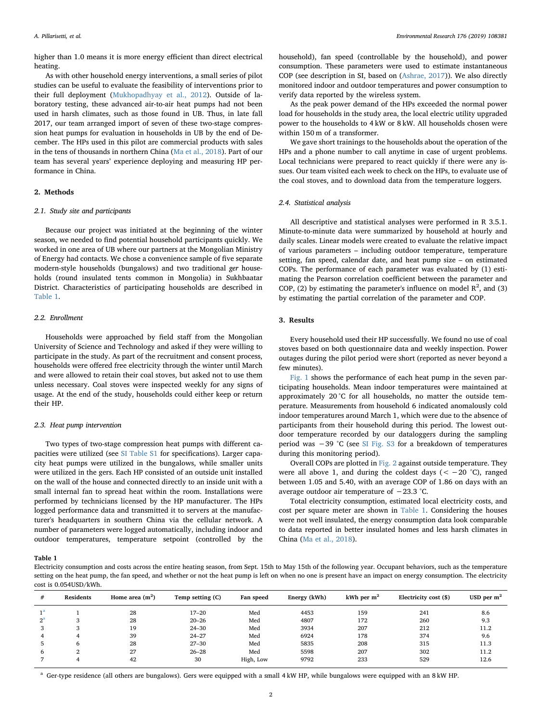higher than 1.0 means it is more energy efficient than direct electrical heating.

As with other household energy interventions, a small series of pilot studies can be useful to evaluate the feasibility of interventions prior to their full deployment [\(Mukhopadhyay et al., 2012](#page-4-8)). Outside of laboratory testing, these advanced air-to-air heat pumps had not been used in harsh climates, such as those found in UB. Thus, in late fall 2017, our team arranged import of seven of these two-stage compression heat pumps for evaluation in households in UB by the end of December. The HPs used in this pilot are commercial products with sales in the tens of thousands in northern China ([Ma et al., 2018\)](#page-4-9). Part of our team has several years' experience deploying and measuring HP performance in China.

## 2. Methods

#### 2.1. Study site and participants

Because our project was initiated at the beginning of the winter season, we needed to find potential household participants quickly. We worked in one area of UB where our partners at the Mongolian Ministry of Energy had contacts. We chose a convenience sample of five separate modern-style households (bungalows) and two traditional ger households (round insulated tents common in Mongolia) in Sukhbaatar District. Characteristics of participating households are described in [Table 1](#page-1-0).

## 2.2. Enrollment

Households were approached by field staff from the Mongolian University of Science and Technology and asked if they were willing to participate in the study. As part of the recruitment and consent process, households were offered free electricity through the winter until March and were allowed to retain their coal stoves, but asked not to use them unless necessary. Coal stoves were inspected weekly for any signs of usage. At the end of the study, households could either keep or return their HP.

#### 2.3. Heat pump intervention

Two types of two-stage compression heat pumps with different capacities were utilized (see SI Table S1 for specifications). Larger capacity heat pumps were utilized in the bungalows, while smaller units were utilized in the gers. Each HP consisted of an outside unit installed on the wall of the house and connected directly to an inside unit with a small internal fan to spread heat within the room. Installations were performed by technicians licensed by the HP manufacturer. The HPs logged performance data and transmitted it to servers at the manufacturer's headquarters in southern China via the cellular network. A number of parameters were logged automatically, including indoor and outdoor temperatures, temperature setpoint (controlled by the

household), fan speed (controllable by the household), and power consumption. These parameters were used to estimate instantaneous COP (see description in SI, based on [\(Ashrae, 2017](#page-4-10))). We also directly monitored indoor and outdoor temperatures and power consumption to verify data reported by the wireless system.

As the peak power demand of the HPs exceeded the normal power load for households in the study area, the local electric utility upgraded power to the households to 4 kW or 8 kW. All households chosen were within 150 m of a transformer.

We gave short trainings to the households about the operation of the HPs and a phone number to call anytime in case of urgent problems. Local technicians were prepared to react quickly if there were any issues. Our team visited each week to check on the HPs, to evaluate use of the coal stoves, and to download data from the temperature loggers.

### 2.4. Statistical analysis

All descriptive and statistical analyses were performed in R 3.5.1. Minute-to-minute data were summarized by household at hourly and daily scales. Linear models were created to evaluate the relative impact of various parameters – including outdoor temperature, temperature setting, fan speed, calendar date, and heat pump size – on estimated COPs. The performance of each parameter was evaluated by (1) estimating the Pearson correlation coefficient between the parameter and COP, (2) by estimating the parameter's influence on model  $\mathbb{R}^2$ , and (3) by estimating the partial correlation of the parameter and COP.

## 3. Results

Every household used their HP successfully. We found no use of coal stoves based on both questionnaire data and weekly inspection. Power outages during the pilot period were short (reported as never beyond a few minutes).

[Fig. 1](#page-2-0) shows the performance of each heat pump in the seven participating households. Mean indoor temperatures were maintained at approximately 20 °C for all households, no matter the outside temperature. Measurements from household 6 indicated anomalously cold indoor temperatures around March 1, which were due to the absence of participants from their household during this period. The lowest outdoor temperature recorded by our dataloggers during the sampling period was −39 °C (see SI Fig. S3 for a breakdown of temperatures during this monitoring period).

Overall COPs are plotted in [Fig. 2](#page-2-1) against outside temperature. They were all above 1, and during the coldest days ( $\lt -20$  °C), ranged between 1.05 and 5.40, with an average COP of 1.86 on days with an average outdoor air temperature of −23.3 °C.

Total electricity consumption, estimated local electricity costs, and cost per square meter are shown in [Table 1](#page-1-0). Considering the houses were not well insulated, the energy consumption data look comparable to data reported in better insulated homes and less harsh climates in China ([Ma et al., 2018](#page-4-9)).

<span id="page-1-0"></span>Table 1

Electricity consumption and costs across the entire heating season, from Sept. 15th to May 15th of the following year. Occupant behaviors, such as the temperature setting on the heat pump, the fan speed, and whether or not the heat pump is left on when no one is present have an impact on energy consumption. The electricity cost is 0.054USD/kWh.

| #           | <b>Residents</b> | Home area $(m2)$ | Temp setting (C) | Fan speed | Energy (kWh) | kWh per $m2$ | Electricity cost (\$) | USD per $m2$ |
|-------------|------------------|------------------|------------------|-----------|--------------|--------------|-----------------------|--------------|
|             |                  | 28               | $17 - 20$        | Med       | 4453         | 159          | 241                   | 8.6          |
| $2^{\rm a}$ | 3                | 28               | $20 - 26$        | Med       | 4807         | 172          | 260                   | 9.3          |
|             | 3                | 19               | $24 - 30$        | Med       | 3934         | 207          | 212                   | 11.2         |
|             |                  | 39               | $24 - 27$        | Med       | 6924         | 178          | 374                   | 9.6          |
|             | 6                | 28               | $27 - 30$        | Med       | 5835         | 208          | 315                   | 11.3         |
| 6           | ີ<br>∠           | 27               | $26 - 28$        | Med       | 5598         | 207          | 302                   | 11.2         |
|             |                  | 42               | 30               | High, Low | 9792         | 233          | 529                   | 12.6         |

<span id="page-1-1"></span><sup>a</sup> Ger-type residence (all others are bungalows). Gers were equipped with a small 4 kW HP, while bungalows were equipped with an 8 kW HP.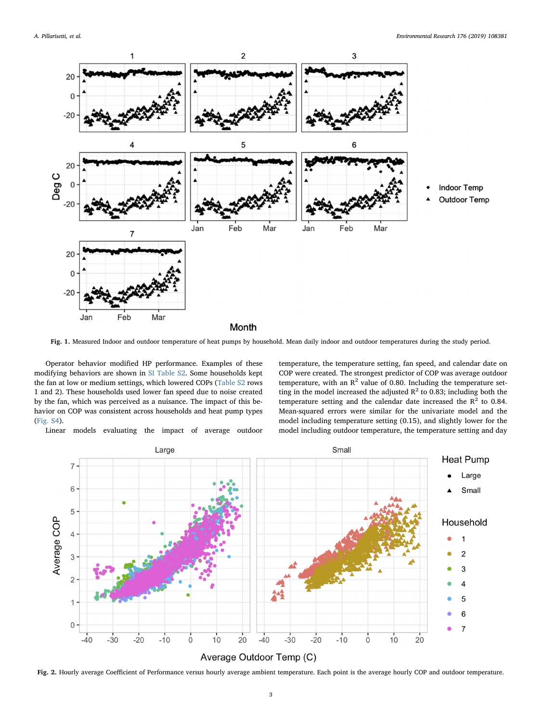<span id="page-2-0"></span>

Fig. 1. Measured Indoor and outdoor temperature of heat pumps by household. Mean daily indoor and outdoor temperatures during the study period.

Operator behavior modified HP performance. Examples of these modifying behaviors are shown in SI Table S2. Some households kept the fan at low or medium settings, which lowered COPs (Table S2 rows 1 and 2). These households used lower fan speed due to noise created by the fan, which was perceived as a nuisance. The impact of this behavior on COP was consistent across households and heat pump types (Fig. S4).

Linear models evaluating the impact of average outdoor

temperature, the temperature setting, fan speed, and calendar date on COP were created. The strongest predictor of COP was average outdoor temperature, with an  $R^2$  value of 0.80. Including the temperature setting in the model increased the adjusted  $R^2$  to 0.83; including both the temperature setting and the calendar date increased the  $R^2$  to 0.84. Mean-squared errors were similar for the univariate model and the model including temperature setting (0.15), and slightly lower for the model including outdoor temperature, the temperature setting and day

<span id="page-2-1"></span>

Fig. 2. Hourly average Coefficient of Performance versus hourly average ambient temperature. Each point is the average hourly COP and outdoor temperature.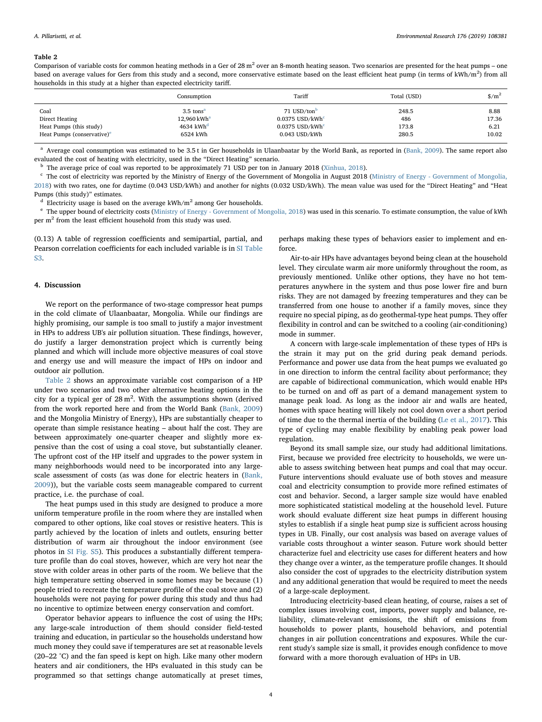#### <span id="page-3-0"></span>Table 2

Comparison of variable costs for common heating methods in a Ger of 28  $m<sup>2</sup>$  over an 8-month heating season. Two scenarios are presented for the heat pumps – one based on average values for Gers from this study and a second, more conservative estimate based on the least efficient heat pump (in terms of kWh/m<sup>2</sup>) from all households in this study at a higher than expected electricity tariff.

|                                        | Consumption                   | Tariff                        | Total (USD) | $\frac{\text{S}}{\text{m}^2}$ |
|----------------------------------------|-------------------------------|-------------------------------|-------------|-------------------------------|
| Coal                                   | $3.5 \text{ tons}^{\text{a}}$ | 71 USD/ton <sup>b</sup>       | 248.5       | 8.88                          |
| Direct Heating                         | $12,960$ kWh <sup>a</sup>     | $0.0375$ USD/kWh <sup>c</sup> | 486         | 17.36                         |
| Heat Pumps (this study)                | 4634 kWh <sup>d</sup>         | $0.0375$ USD/kWh <sup>c</sup> | 173.8       | 6.21                          |
| Heat Pumps (conservative) <sup>e</sup> | 6524 kWh                      | 0.043 USD/kWh                 | 280.5       | 10.02                         |

<span id="page-3-1"></span><sup>a</sup> Average coal consumption was estimated to be 3.5 t in Ger households in Ulaanbaatar by the World Bank, as reported in ([Bank, 2009](#page-4-11)). The same report also evaluated the cost of heating with electricity, used in the "Direct Heating" scenario.

<span id="page-3-2"></span><sup>b</sup> The average price of coal was reported to be approximately 71 USD per ton in January 2018 [\(Xinhua, 2018](#page-4-13)).

<span id="page-3-3"></span><sup>c</sup> The cost of electricity was reported by the Ministry of Energy of the Government of Mongolia in August 2018 ([Ministry of Energy - Government of Mongolia,](#page-4-14) [2018\)](#page-4-14) with two rates, one for daytime (0.043 USD/kWh) and another for nights (0.032 USD/kWh). The mean value was used for the "Direct Heating" and "Heat Pumps (this study)" estimates.

<span id="page-3-4"></span> $d$  Electricity usage is based on the average kWh/m<sup>2</sup> among Ger households.

<span id="page-3-5"></span><sup>e</sup> The upper bound of electricity costs [\(Ministry of Energy - Government of Mongolia, 2018](#page-4-14)) was used in this scenario. To estimate consumption, the value of kWh per m2 from the least efficient household from this study was used.

(0.13) A table of regression coefficients and semipartial, partial, and Pearson correlation coefficients for each included variable is in SI Table S3.

#### 4. Discussion

We report on the performance of two-stage compressor heat pumps in the cold climate of Ulaanbaatar, Mongolia. While our findings are highly promising, our sample is too small to justify a major investment in HPs to address UB's air pollution situation. These findings, however, do justify a larger demonstration project which is currently being planned and which will include more objective measures of coal stove and energy use and will measure the impact of HPs on indoor and outdoor air pollution.

[Table 2](#page-3-0) shows an approximate variable cost comparison of a HP under two scenarios and two other alternative heating options in the city for a typical ger of  $28 \text{ m}^2$ . With the assumptions shown (derived from the work reported here and from the World Bank ([Bank, 2009\)](#page-4-11) and the Mongolia Ministry of Energy), HPs are substantially cheaper to operate than simple resistance heating – about half the cost. They are between approximately one-quarter cheaper and slightly more expensive than the cost of using a coal stove, but substantially cleaner. The upfront cost of the HP itself and upgrades to the power system in many neighborhoods would need to be incorporated into any largescale assessment of costs (as was done for electric heaters in ([Bank,](#page-4-11) [2009\)](#page-4-11)), but the variable costs seem manageable compared to current practice, i.e. the purchase of coal.

The heat pumps used in this study are designed to produce a more uniform temperature profile in the room where they are installed when compared to other options, like coal stoves or resistive heaters. This is partly achieved by the location of inlets and outlets, ensuring better distribution of warm air throughout the indoor environment (see photos in SI Fig. S5). This produces a substantially different temperature profile than do coal stoves, however, which are very hot near the stove with colder areas in other parts of the room. We believe that the high temperature setting observed in some homes may be because (1) people tried to recreate the temperature profile of the coal stove and (2) households were not paying for power during this study and thus had no incentive to optimize between energy conservation and comfort.

Operator behavior appears to influence the cost of using the HPs; any large-scale introduction of them should consider field-tested training and education, in particular so the households understand how much money they could save if temperatures are set at reasonable levels (20–22 °C) and the fan speed is kept on high. Like many other modern heaters and air conditioners, the HPs evaluated in this study can be programmed so that settings change automatically at preset times,

perhaps making these types of behaviors easier to implement and enforce.

Air-to-air HPs have advantages beyond being clean at the household level. They circulate warm air more uniformly throughout the room, as previously mentioned. Unlike other options, they have no hot temperatures anywhere in the system and thus pose lower fire and burn risks. They are not damaged by freezing temperatures and they can be transferred from one house to another if a family moves, since they require no special piping, as do geothermal-type heat pumps. They offer flexibility in control and can be switched to a cooling (air-conditioning) mode in summer.

A concern with large-scale implementation of these types of HPs is the strain it may put on the grid during peak demand periods. Performance and power use data from the heat pumps we evaluated go in one direction to inform the central facility about performance; they are capable of bidirectional communication, which would enable HPs to be turned on and off as part of a demand management system to manage peak load. As long as the indoor air and walls are heated, homes with space heating will likely not cool down over a short period of time due to the thermal inertia of the building ([Le et al., 2017](#page-4-12)). This type of cycling may enable flexibility by enabling peak power load regulation.

Beyond its small sample size, our study had additional limitations. First, because we provided free electricity to households, we were unable to assess switching between heat pumps and coal that may occur. Future interventions should evaluate use of both stoves and measure coal and electricity consumption to provide more refined estimates of cost and behavior. Second, a larger sample size would have enabled more sophisticated statistical modeling at the household level. Future work should evaluate different size heat pumps in different housing styles to establish if a single heat pump size is sufficient across housing types in UB. Finally, our cost analysis was based on average values of variable costs throughout a winter season. Future work should better characterize fuel and electricity use cases for different heaters and how they change over a winter, as the temperature profile changes. It should also consider the cost of upgrades to the electricity distribution system and any additional generation that would be required to meet the needs of a large-scale deployment.

Introducing electricity-based clean heating, of course, raises a set of complex issues involving cost, imports, power supply and balance, reliability, climate-relevant emissions, the shift of emissions from households to power plants, household behaviors, and potential changes in air pollution concentrations and exposures. While the current study's sample size is small, it provides enough confidence to move forward with a more thorough evaluation of HPs in UB.